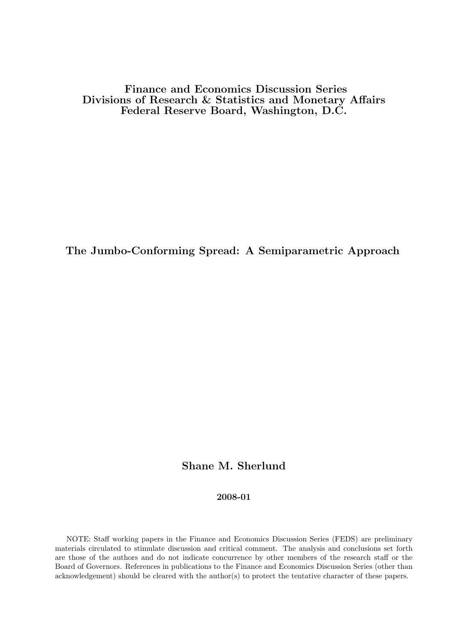Finance and Economics Discussion Series Divisions of Research & Statistics and Monetary Affairs Federal Reserve Board, Washington, D.C.

The Jumbo-Conforming Spread: A Semiparametric Approach

# Shane M. Sherlund

#### 2008-01

NOTE: Staff working papers in the Finance and Economics Discussion Series (FEDS) are preliminary materials circulated to stimulate discussion and critical comment. The analysis and conclusions set forth are those of the authors and do not indicate concurrence by other members of the research staff or the Board of Governors. References in publications to the Finance and Economics Discussion Series (other than acknowledgement) should be cleared with the author(s) to protect the tentative character of these papers.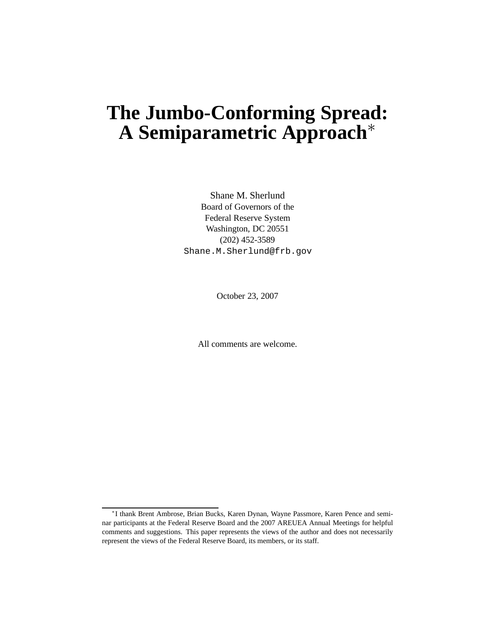# **The Jumbo-Conforming Spread: A Semiparametric Approach**∗

Shane M. Sherlund Board of Governors of the Federal Reserve System Washington, DC 20551 (202) 452-3589 Shane.M.Sherlund@frb.gov

October 23, 2007

All comments are welcome.

<sup>∗</sup> I thank Brent Ambrose, Brian Bucks, Karen Dynan, Wayne Passmore, Karen Pence and seminar participants at the Federal Reserve Board and the 2007 AREUEA Annual Meetings for helpful comments and suggestions. This paper represents the views of the author and does not necessarily represent the views of the Federal Reserve Board, its members, or its staff.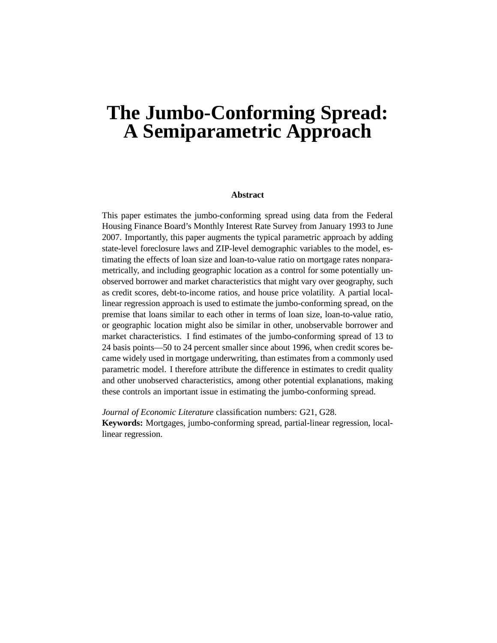# **The Jumbo-Conforming Spread: A Semiparametric Approach**

#### **Abstract**

This paper estimates the jumbo-conforming spread using data from the Federal Housing Finance Board's Monthly Interest Rate Survey from January 1993 to June 2007. Importantly, this paper augments the typical parametric approach by adding state-level foreclosure laws and ZIP-level demographic variables to the model, estimating the effects of loan size and loan-to-value ratio on mortgage rates nonparametrically, and including geographic location as a control for some potentially unobserved borrower and market characteristics that might vary over geography, such as credit scores, debt-to-income ratios, and house price volatility. A partial locallinear regression approach is used to estimate the jumbo-conforming spread, on the premise that loans similar to each other in terms of loan size, loan-to-value ratio, or geographic location might also be similar in other, unobservable borrower and market characteristics. I find estimates of the jumbo-conforming spread of 13 to 24 basis points—50 to 24 percent smaller since about 1996, when credit scores became widely used in mortgage underwriting, than estimates from a commonly used parametric model. I therefore attribute the difference in estimates to credit quality and other unobserved characteristics, among other potential explanations, making these controls an important issue in estimating the jumbo-conforming spread.

*Journal of Economic Literature* classification numbers: G21, G28. **Keywords:** Mortgages, jumbo-conforming spread, partial-linear regression, locallinear regression.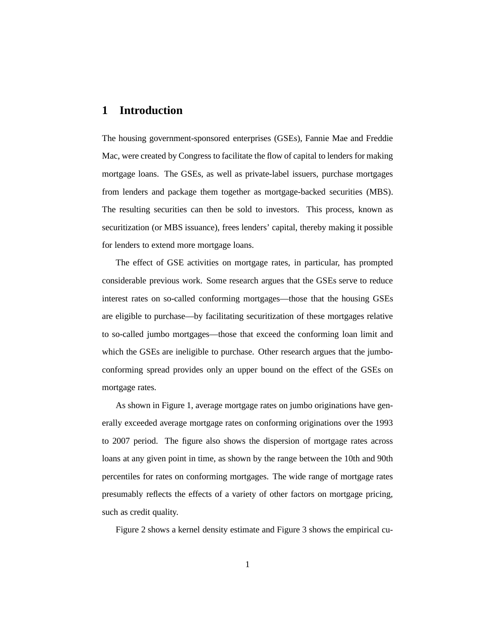#### **1 Introduction**

The housing government-sponsored enterprises (GSEs), Fannie Mae and Freddie Mac, were created by Congress to facilitate the flow of capital to lenders for making mortgage loans. The GSEs, as well as private-label issuers, purchase mortgages from lenders and package them together as mortgage-backed securities (MBS). The resulting securities can then be sold to investors. This process, known as securitization (or MBS issuance), frees lenders' capital, thereby making it possible for lenders to extend more mortgage loans.

The effect of GSE activities on mortgage rates, in particular, has prompted considerable previous work. Some research argues that the GSEs serve to reduce interest rates on so-called conforming mortgages—those that the housing GSEs are eligible to purchase—by facilitating securitization of these mortgages relative to so-called jumbo mortgages—those that exceed the conforming loan limit and which the GSEs are ineligible to purchase. Other research argues that the jumboconforming spread provides only an upper bound on the effect of the GSEs on mortgage rates.

As shown in Figure 1, average mortgage rates on jumbo originations have generally exceeded average mortgage rates on conforming originations over the 1993 to 2007 period. The figure also shows the dispersion of mortgage rates across loans at any given point in time, as shown by the range between the 10th and 90th percentiles for rates on conforming mortgages. The wide range of mortgage rates presumably reflects the effects of a variety of other factors on mortgage pricing, such as credit quality.

Figure 2 shows a kernel density estimate and Figure 3 shows the empirical cu-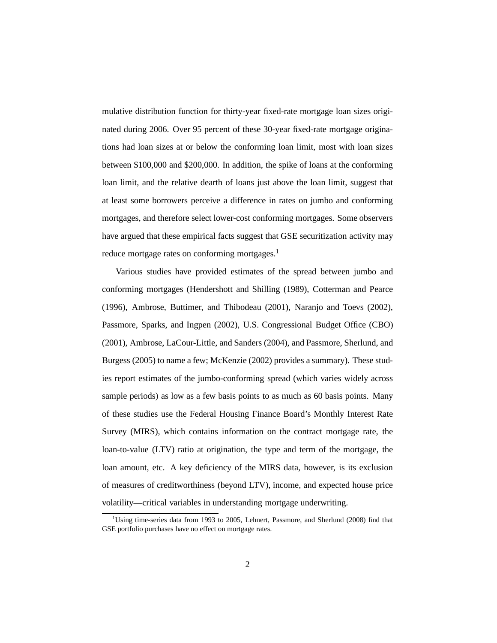mulative distribution function for thirty-year fixed-rate mortgage loan sizes originated during 2006. Over 95 percent of these 30-year fixed-rate mortgage originations had loan sizes at or below the conforming loan limit, most with loan sizes between \$100,000 and \$200,000. In addition, the spike of loans at the conforming loan limit, and the relative dearth of loans just above the loan limit, suggest that at least some borrowers perceive a difference in rates on jumbo and conforming mortgages, and therefore select lower-cost conforming mortgages. Some observers have argued that these empirical facts suggest that GSE securitization activity may reduce mortgage rates on conforming mortgages.<sup>1</sup>

Various studies have provided estimates of the spread between jumbo and conforming mortgages (Hendershott and Shilling (1989), Cotterman and Pearce (1996), Ambrose, Buttimer, and Thibodeau (2001), Naranjo and Toevs (2002), Passmore, Sparks, and Ingpen (2002), U.S. Congressional Budget Office (CBO) (2001), Ambrose, LaCour-Little, and Sanders (2004), and Passmore, Sherlund, and Burgess (2005) to name a few; McKenzie (2002) provides a summary). These studies report estimates of the jumbo-conforming spread (which varies widely across sample periods) as low as a few basis points to as much as 60 basis points. Many of these studies use the Federal Housing Finance Board's Monthly Interest Rate Survey (MIRS), which contains information on the contract mortgage rate, the loan-to-value (LTV) ratio at origination, the type and term of the mortgage, the loan amount, etc. A key deficiency of the MIRS data, however, is its exclusion of measures of creditworthiness (beyond LTV), income, and expected house price volatility—critical variables in understanding mortgage underwriting.

<sup>&</sup>lt;sup>1</sup>Using time-series data from 1993 to 2005, Lehnert, Passmore, and Sherlund (2008) find that GSE portfolio purchases have no effect on mortgage rates.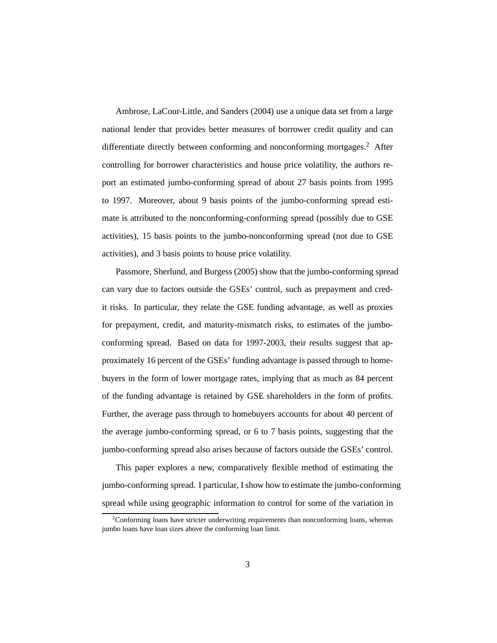Ambrose, LaCour-Little, and Sanders (2004) use a unique data set from a large national lender that provides better measures of borrower credit quality and can differentiate directly between conforming and nonconforming mortgages.<sup>2</sup> After controlling for borrower characteristics and house price volatility, the authors report an estimated jumbo-conforming spread of about 27 basis points from 1995 to 1997. Moreover, about 9 basis points of the jumbo-conforming spread estimate is attributed to the nonconforming-conforming spread (possibly due to GSE activities), 15 basis points to the jumbo-nonconforming spread (not due to GSE activities), and 3 basis points to house price volatility.

Passmore, Sherlund, and Burgess (2005) show that the jumbo-conforming spread can vary due to factors outside the GSEs' control, such as prepayment and credit risks. In particular, they relate the GSE funding advantage, as well as proxies for prepayment, credit, and maturity-mismatch risks, to estimates of the jumboconforming spread. Based on data for 1997-2003, their results suggest that approximately 16 percent of the GSEs' funding advantage is passed through to homebuyers in the form of lower mortgage rates, implying that as much as 84 percent of the funding advantage is retained by GSE shareholders in the form of profits. Further, the average pass through to homebuyers accounts for about 40 percent of the average jumbo-conforming spread, or 6 to 7 basis points, suggesting that the jumbo-conforming spread also arises because of factors outside the GSEs' control.

This paper explores a new, comparatively flexible method of estimating the jumbo-conforming spread. I particular, I show how to estimate the jumbo-conforming spread while using geographic information to control for some of the variation in

<sup>&</sup>lt;sup>2</sup>Conforming loans have stricter underwriting requirements than nonconforming loans, whereas jumbo loans have loan sizes above the conforming loan limit.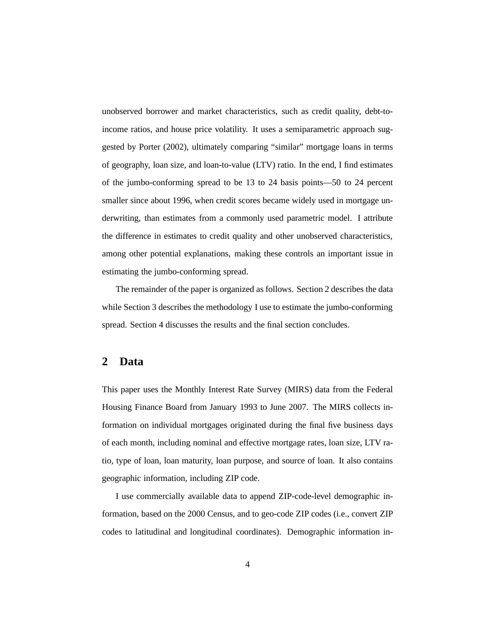unobserved borrower and market characteristics, such as credit quality, debt-toincome ratios, and house price volatility. It uses a semiparametric approach suggested by Porter (2002), ultimately comparing "similar" mortgage loans in terms of geography, loan size, and loan-to-value (LTV) ratio. In the end, I find estimates of the jumbo-conforming spread to be 13 to 24 basis points—50 to 24 percent smaller since about 1996, when credit scores became widely used in mortgage underwriting, than estimates from a commonly used parametric model. I attribute the difference in estimates to credit quality and other unobserved characteristics, among other potential explanations, making these controls an important issue in estimating the jumbo-conforming spread.

The remainder of the paper is organized as follows. Section 2 describes the data while Section 3 describes the methodology I use to estimate the jumbo-conforming spread. Section 4 discusses the results and the final section concludes.

### **2 Data**

This paper uses the Monthly Interest Rate Survey (MIRS) data from the Federal Housing Finance Board from January 1993 to June 2007. The MIRS collects information on individual mortgages originated during the final five business days of each month, including nominal and effective mortgage rates, loan size, LTV ratio, type of loan, loan maturity, loan purpose, and source of loan. It also contains geographic information, including ZIP code.

I use commercially available data to append ZIP-code-level demographic information, based on the 2000 Census, and to geo-code ZIP codes (i.e., convert ZIP codes to latitudinal and longitudinal coordinates). Demographic information in-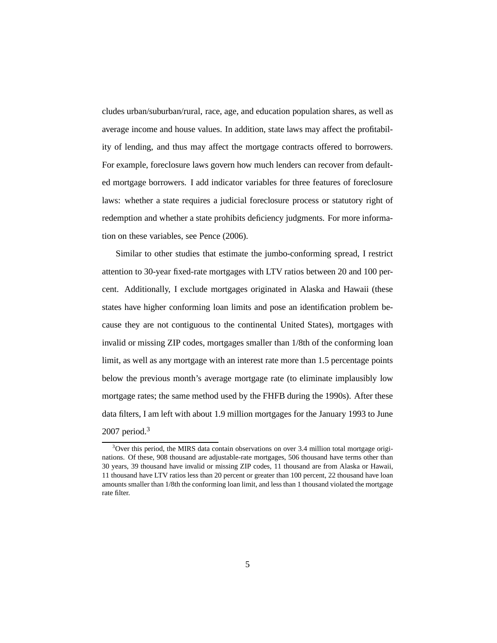cludes urban/suburban/rural, race, age, and education population shares, as well as average income and house values. In addition, state laws may affect the profitability of lending, and thus may affect the mortgage contracts offered to borrowers. For example, foreclosure laws govern how much lenders can recover from defaulted mortgage borrowers. I add indicator variables for three features of foreclosure laws: whether a state requires a judicial foreclosure process or statutory right of redemption and whether a state prohibits deficiency judgments. For more information on these variables, see Pence (2006).

Similar to other studies that estimate the jumbo-conforming spread, I restrict attention to 30-year fixed-rate mortgages with LTV ratios between 20 and 100 percent. Additionally, I exclude mortgages originated in Alaska and Hawaii (these states have higher conforming loan limits and pose an identification problem because they are not contiguous to the continental United States), mortgages with invalid or missing ZIP codes, mortgages smaller than 1/8th of the conforming loan limit, as well as any mortgage with an interest rate more than 1.5 percentage points below the previous month's average mortgage rate (to eliminate implausibly low mortgage rates; the same method used by the FHFB during the 1990s). After these data filters, I am left with about 1.9 million mortgages for the January 1993 to June 2007 period. $3$ 

 $3$ Over this period, the MIRS data contain observations on over 3.4 million total mortgage originations. Of these, 908 thousand are adjustable-rate mortgages, 506 thousand have terms other than 30 years, 39 thousand have invalid or missing ZIP codes, 11 thousand are from Alaska or Hawaii, 11 thousand have LTV ratios less than 20 percent or greater than 100 percent, 22 thousand have loan amounts smaller than 1/8th the conforming loan limit, and less than 1 thousand violated the mortgage rate filter.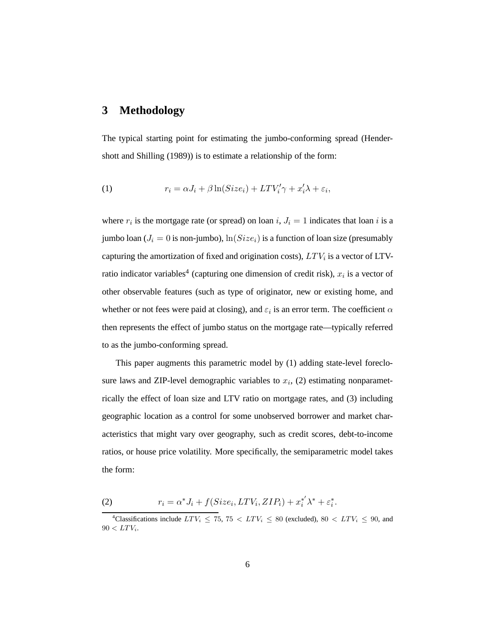## **3 Methodology**

The typical starting point for estimating the jumbo-conforming spread (Hendershott and Shilling (1989)) is to estimate a relationship of the form:

(1) 
$$
r_i = \alpha J_i + \beta \ln(Size_i) + LTV'_i \gamma + x'_i \lambda + \varepsilon_i,
$$

where  $r_i$  is the mortgage rate (or spread) on loan i,  $J_i = 1$  indicates that loan i is a jumbo loan ( $J_i = 0$  is non-jumbo),  $\ln(Size_i)$  is a function of loan size (presumably capturing the amortization of fixed and origination costs),  $LTV_i$  is a vector of LTVratio indicator variables<sup>4</sup> (capturing one dimension of credit risk),  $x_i$  is a vector of other observable features (such as type of originator, new or existing home, and whether or not fees were paid at closing), and  $\varepsilon_i$  is an error term. The coefficient  $\alpha$ then represents the effect of jumbo status on the mortgage rate—typically referred to as the jumbo-conforming spread.

This paper augments this parametric model by (1) adding state-level foreclosure laws and ZIP-level demographic variables to  $x_i$ , (2) estimating nonparametrically the effect of loan size and LTV ratio on mortgage rates, and (3) including geographic location as a control for some unobserved borrower and market characteristics that might vary over geography, such as credit scores, debt-to-income ratios, or house price volatility. More specifically, the semiparametric model takes the form:

(2) 
$$
r_i = \alpha^* J_i + f(Size_i, LTV_i, ZIP_i) + x_i^{*'} \lambda^* + \varepsilon_i^*.
$$

 $^{4}$ Classifications include  $LTV_i \le 75$ ,  $75 < LTV_i \le 80$  (excluded),  $80 < LTV_i \le 90$ , and  $90 < LTV_i$ .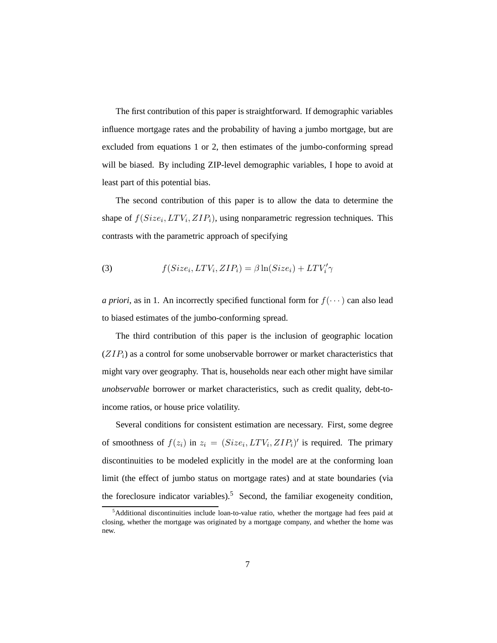The first contribution of this paper is straightforward. If demographic variables influence mortgage rates and the probability of having a jumbo mortgage, but are excluded from equations 1 or 2, then estimates of the jumbo-conforming spread will be biased. By including ZIP-level demographic variables, I hope to avoid at least part of this potential bias.

The second contribution of this paper is to allow the data to determine the shape of  $f(Size_i, LTV_i, ZIP_i)$ , using nonparametric regression techniques. This contrasts with the parametric approach of specifying

(3) 
$$
f(Size_i, LTV_i, ZIP_i) = \beta \ln(Size_i) + LTV_i' \gamma
$$

*a priori*, as in 1. An incorrectly specified functional form for  $f(\cdots)$  can also lead to biased estimates of the jumbo-conforming spread.

The third contribution of this paper is the inclusion of geographic location  $(ZIP_i)$  as a control for some unobservable borrower or market characteristics that might vary over geography. That is, households near each other might have similar *unobservable* borrower or market characteristics, such as credit quality, debt-toincome ratios, or house price volatility.

Several conditions for consistent estimation are necessary. First, some degree of smoothness of  $f(z_i)$  in  $z_i = (Size_i, LTV_i, ZIP_i)'$  is required. The primary discontinuities to be modeled explicitly in the model are at the conforming loan limit (the effect of jumbo status on mortgage rates) and at state boundaries (via the foreclosure indicator variables).<sup>5</sup> Second, the familiar exogeneity condition,

<sup>&</sup>lt;sup>5</sup>Additional discontinuities include loan-to-value ratio, whether the mortgage had fees paid at closing, whether the mortgage was originated by a mortgage company, and whether the home was new.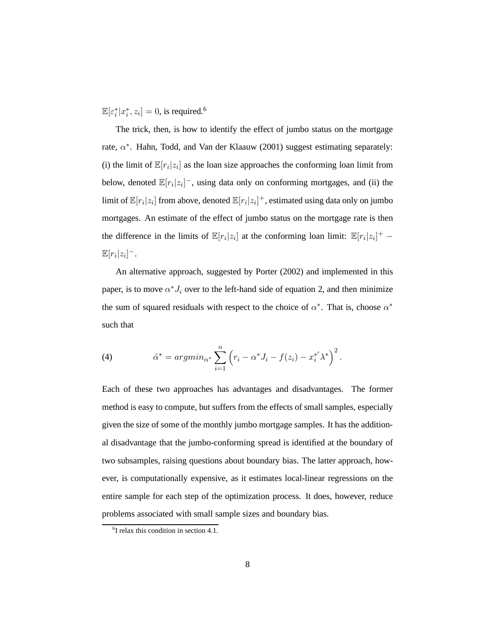$\mathbb{E}[\varepsilon_i^*]$  $i^*|x_i^*$  $[i, z_i] = 0$ , is required.<sup>6</sup>

The trick, then, is how to identify the effect of jumbo status on the mortgage rate,  $\alpha^*$ . Hahn, Todd, and Van der Klaauw (2001) suggest estimating separately: (i) the limit of  $\mathbb{E}[r_i|z_i]$  as the loan size approaches the conforming loan limit from below, denoted  $\mathbb{E}[r_i|z_i]$ <sup>-</sup>, using data only on conforming mortgages, and (ii) the limit of  $\mathbb{E}[r_i|z_i]$  from above, denoted  $\mathbb{E}[r_i|z_i]^+$ , estimated using data only on jumbo mortgages. An estimate of the effect of jumbo status on the mortgage rate is then the difference in the limits of  $\mathbb{E}[r_i|z_i]$  at the conforming loan limit:  $\mathbb{E}[r_i|z_i]$ <sup>+</sup> - $\mathbb{E}[r_i|z_i]^{-}$ .

An alternative approach, suggested by Porter (2002) and implemented in this paper, is to move  $\alpha^* J_i$  over to the left-hand side of equation 2, and then minimize the sum of squared residuals with respect to the choice of  $\alpha^*$ . That is, choose  $\alpha^*$ such that

(4) 
$$
\hat{\alpha}^* = argmin_{\alpha^*} \sum_{i=1}^n (r_i - \alpha^* J_i - f(z_i) - x_i^{*'} \lambda^*)^2.
$$

Each of these two approaches has advantages and disadvantages. The former method is easy to compute, but suffers from the effects of small samples, especially given the size of some of the monthly jumbo mortgage samples. It has the additional disadvantage that the jumbo-conforming spread is identified at the boundary of two subsamples, raising questions about boundary bias. The latter approach, however, is computationally expensive, as it estimates local-linear regressions on the entire sample for each step of the optimization process. It does, however, reduce problems associated with small sample sizes and boundary bias.

<sup>6</sup> I relax this condition in section 4.1.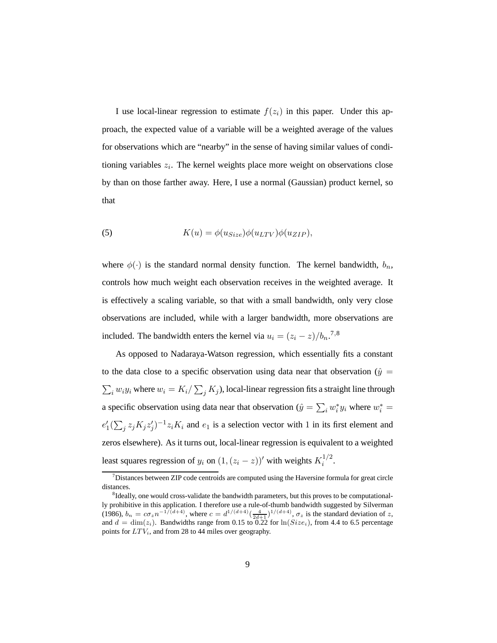I use local-linear regression to estimate  $f(z<sub>i</sub>)$  in this paper. Under this approach, the expected value of a variable will be a weighted average of the values for observations which are "nearby" in the sense of having similar values of conditioning variables  $z_i$ . The kernel weights place more weight on observations close by than on those farther away. Here, I use a normal (Gaussian) product kernel, so that

(5) 
$$
K(u) = \phi(u_{Size})\phi(u_{LTV})\phi(u_{ZIP}),
$$

where  $\phi(\cdot)$  is the standard normal density function. The kernel bandwidth,  $b_n$ , controls how much weight each observation receives in the weighted average. It is effectively a scaling variable, so that with a small bandwidth, only very close observations are included, while with a larger bandwidth, more observations are included. The bandwidth enters the kernel via  $u_i = (z_i - z)/b_n$ .<sup>7,8</sup>

As opposed to Nadaraya-Watson regression, which essentially fits a constant to the data close to a specific observation using data near that observation ( $\hat{y} =$  $\sum_i w_i y_i$  where  $w_i = K_i / \sum_j K_j$ ), local-linear regression fits a straight line through a specific observation using data near that observation ( $\hat{y} = \sum_i w_i^*$ )  $i^*y_i$  where  $w_i^* =$  $e_1'$  $\int_1'(\sum_j z_j K_j z'_j)$  $j^{j-1}z_iK_i$  and  $e_1$  is a selection vector with 1 in its first element and zeros elsewhere). As it turns out, local-linear regression is equivalent to a weighted least squares regression of  $y_i$  on  $(1, (z_i - z))'$  with weights  $K_i^{1/2}$  $\frac{1}{i}$ .

 $\sigma$ <sup>7</sup>Distances between ZIP code centroids are computed using the Haversine formula for great circle distances.

<sup>&</sup>lt;sup>8</sup>Ideally, one would cross-validate the bandwidth parameters, but this proves to be computationally prohibitive in this application. I therefore use a rule-of-thumb bandwidth suggested by Silverman (1986),  $b_n = c\sigma_z n^{-1/(d+4)}$ , where  $c = d^{1/(d+4)} \left(\frac{4}{2d+1}\right)^{1/(d+4)}$ ,  $\sigma_z$  is the standard deviation of z, and  $d = \dim(z_i)$ . Bandwidths range from 0.15 to  $0.22$  for  $\ln(Size_i)$ , from 4.4 to 6.5 percentage points for  $LTV_i$ , and from 28 to 44 miles over geography.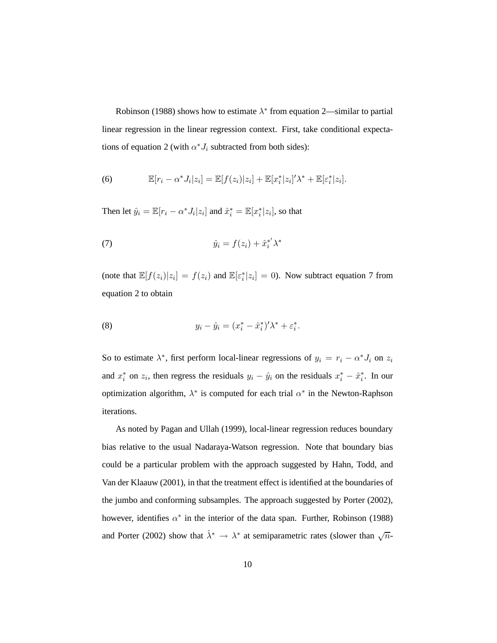Robinson (1988) shows how to estimate  $\lambda^*$  from equation 2—similar to partial linear regression in the linear regression context. First, take conditional expectations of equation 2 (with  $\alpha^* J_i$  subtracted from both sides):

(6) 
$$
\mathbb{E}[r_i - \alpha^* J_i | z_i] = \mathbb{E}[f(z_i)|z_i] + \mathbb{E}[x_i^* | z_i]' \lambda^* + \mathbb{E}[\varepsilon_i^* | z_i].
$$

Then let  $\hat{y}_i = \mathbb{E}[r_i - \alpha^* J_i | z_i]$  and  $\hat{x}_i^* = \mathbb{E}[x_i^*]$  $i^*[z_i]$ , so that

(7) 
$$
\hat{y}_i = f(z_i) + \hat{x}_i^* \lambda^*
$$

(note that  $\mathbb{E}[f(z_i)|z_i] = f(z_i)$  and  $\mathbb{E}[\varepsilon_i^*]$  $i[z_i] = 0$ ). Now subtract equation 7 from equation 2 to obtain

(8) 
$$
y_i - \hat{y}_i = (x_i^* - \hat{x}_i^*)' \lambda^* + \varepsilon_i^*.
$$

So to estimate  $\lambda^*$ , first perform local-linear regressions of  $y_i = r_i - \alpha^* J_i$  on  $z_i$ and  $x_i^*$ \* on  $z_i$ , then regress the residuals  $y_i - \hat{y}_i$  on the residuals  $x_i^* - \hat{x}_i^*$  $i^*$ . In our optimization algorithm,  $\lambda^*$  is computed for each trial  $\alpha^*$  in the Newton-Raphson iterations.

As noted by Pagan and Ullah (1999), local-linear regression reduces boundary bias relative to the usual Nadaraya-Watson regression. Note that boundary bias could be a particular problem with the approach suggested by Hahn, Todd, and Van der Klaauw (2001), in that the treatment effect is identified at the boundaries of the jumbo and conforming subsamples. The approach suggested by Porter (2002), however, identifies  $\alpha^*$  in the interior of the data span. Further, Robinson (1988) and Porter (2002) show that  $\hat{\lambda}^* \to \lambda^*$  at semiparametric rates (slower than  $\sqrt{n}$ -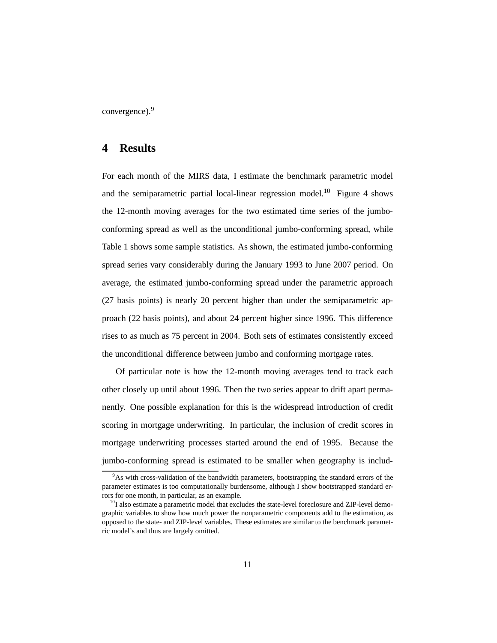convergence).<sup>9</sup>

## **4 Results**

For each month of the MIRS data, I estimate the benchmark parametric model and the semiparametric partial local-linear regression model.<sup>10</sup> Figure 4 shows the 12-month moving averages for the two estimated time series of the jumboconforming spread as well as the unconditional jumbo-conforming spread, while Table 1 shows some sample statistics. As shown, the estimated jumbo-conforming spread series vary considerably during the January 1993 to June 2007 period. On average, the estimated jumbo-conforming spread under the parametric approach (27 basis points) is nearly 20 percent higher than under the semiparametric approach (22 basis points), and about 24 percent higher since 1996. This difference rises to as much as 75 percent in 2004. Both sets of estimates consistently exceed the unconditional difference between jumbo and conforming mortgage rates.

Of particular note is how the 12-month moving averages tend to track each other closely up until about 1996. Then the two series appear to drift apart permanently. One possible explanation for this is the widespread introduction of credit scoring in mortgage underwriting. In particular, the inclusion of credit scores in mortgage underwriting processes started around the end of 1995. Because the jumbo-conforming spread is estimated to be smaller when geography is includ-

 $9$ As with cross-validation of the bandwidth parameters, bootstrapping the standard errors of the parameter estimates is too computationally burdensome, although I show bootstrapped standard errors for one month, in particular, as an example.

 $^{10}$ I also estimate a parametric model that excludes the state-level foreclosure and ZIP-level demographic variables to show how much power the nonparametric components add to the estimation, as opposed to the state- and ZIP-level variables. These estimates are similar to the benchmark parametric model's and thus are largely omitted.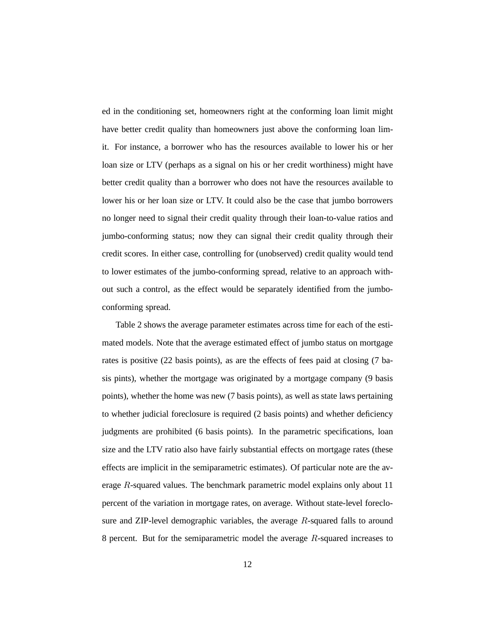ed in the conditioning set, homeowners right at the conforming loan limit might have better credit quality than homeowners just above the conforming loan limit. For instance, a borrower who has the resources available to lower his or her loan size or LTV (perhaps as a signal on his or her credit worthiness) might have better credit quality than a borrower who does not have the resources available to lower his or her loan size or LTV. It could also be the case that jumbo borrowers no longer need to signal their credit quality through their loan-to-value ratios and jumbo-conforming status; now they can signal their credit quality through their credit scores. In either case, controlling for (unobserved) credit quality would tend to lower estimates of the jumbo-conforming spread, relative to an approach without such a control, as the effect would be separately identified from the jumboconforming spread.

Table 2 shows the average parameter estimates across time for each of the estimated models. Note that the average estimated effect of jumbo status on mortgage rates is positive (22 basis points), as are the effects of fees paid at closing (7 basis pints), whether the mortgage was originated by a mortgage company (9 basis points), whether the home was new (7 basis points), as well as state laws pertaining to whether judicial foreclosure is required (2 basis points) and whether deficiency judgments are prohibited (6 basis points). In the parametric specifications, loan size and the LTV ratio also have fairly substantial effects on mortgage rates (these effects are implicit in the semiparametric estimates). Of particular note are the average R-squared values. The benchmark parametric model explains only about 11 percent of the variation in mortgage rates, on average. Without state-level foreclosure and ZIP-level demographic variables, the average R-squared falls to around 8 percent. But for the semiparametric model the average R-squared increases to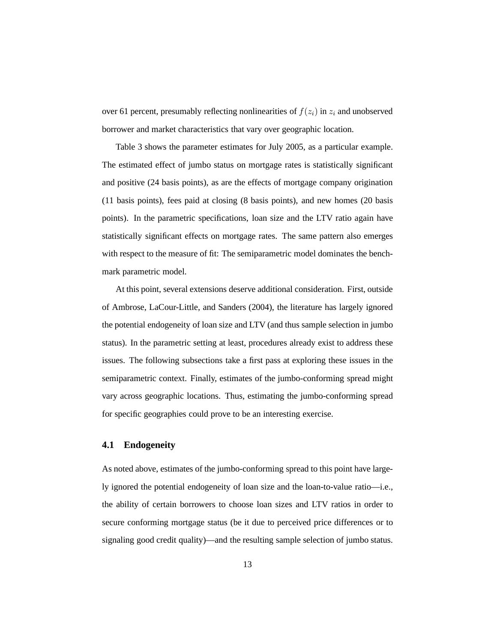over 61 percent, presumably reflecting nonlinearities of  $f(z_i)$  in  $z_i$  and unobserved borrower and market characteristics that vary over geographic location.

Table 3 shows the parameter estimates for July 2005, as a particular example. The estimated effect of jumbo status on mortgage rates is statistically significant and positive (24 basis points), as are the effects of mortgage company origination (11 basis points), fees paid at closing (8 basis points), and new homes (20 basis points). In the parametric specifications, loan size and the LTV ratio again have statistically significant effects on mortgage rates. The same pattern also emerges with respect to the measure of fit: The semiparametric model dominates the benchmark parametric model.

At this point, several extensions deserve additional consideration. First, outside of Ambrose, LaCour-Little, and Sanders (2004), the literature has largely ignored the potential endogeneity of loan size and LTV (and thus sample selection in jumbo status). In the parametric setting at least, procedures already exist to address these issues. The following subsections take a first pass at exploring these issues in the semiparametric context. Finally, estimates of the jumbo-conforming spread might vary across geographic locations. Thus, estimating the jumbo-conforming spread for specific geographies could prove to be an interesting exercise.

#### **4.1 Endogeneity**

As noted above, estimates of the jumbo-conforming spread to this point have largely ignored the potential endogeneity of loan size and the loan-to-value ratio—i.e., the ability of certain borrowers to choose loan sizes and LTV ratios in order to secure conforming mortgage status (be it due to perceived price differences or to signaling good credit quality)—and the resulting sample selection of jumbo status.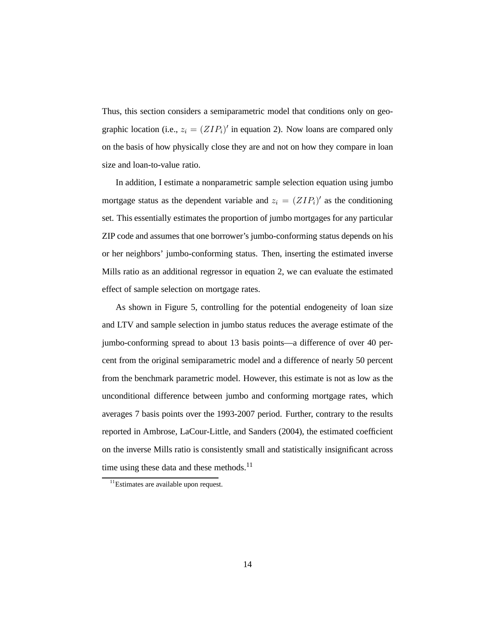Thus, this section considers a semiparametric model that conditions only on geographic location (i.e.,  $z_i = (ZIP_i)'$  in equation 2). Now loans are compared only on the basis of how physically close they are and not on how they compare in loan size and loan-to-value ratio.

In addition, I estimate a nonparametric sample selection equation using jumbo mortgage status as the dependent variable and  $z_i = (ZIP_i)'$  as the conditioning set. This essentially estimates the proportion of jumbo mortgages for any particular ZIP code and assumes that one borrower's jumbo-conforming status depends on his or her neighbors' jumbo-conforming status. Then, inserting the estimated inverse Mills ratio as an additional regressor in equation 2, we can evaluate the estimated effect of sample selection on mortgage rates.

As shown in Figure 5, controlling for the potential endogeneity of loan size and LTV and sample selection in jumbo status reduces the average estimate of the jumbo-conforming spread to about 13 basis points—a difference of over 40 percent from the original semiparametric model and a difference of nearly 50 percent from the benchmark parametric model. However, this estimate is not as low as the unconditional difference between jumbo and conforming mortgage rates, which averages 7 basis points over the 1993-2007 period. Further, contrary to the results reported in Ambrose, LaCour-Little, and Sanders (2004), the estimated coefficient on the inverse Mills ratio is consistently small and statistically insignificant across time using these data and these methods.<sup>11</sup>

<sup>&</sup>lt;sup>11</sup>Estimates are available upon request.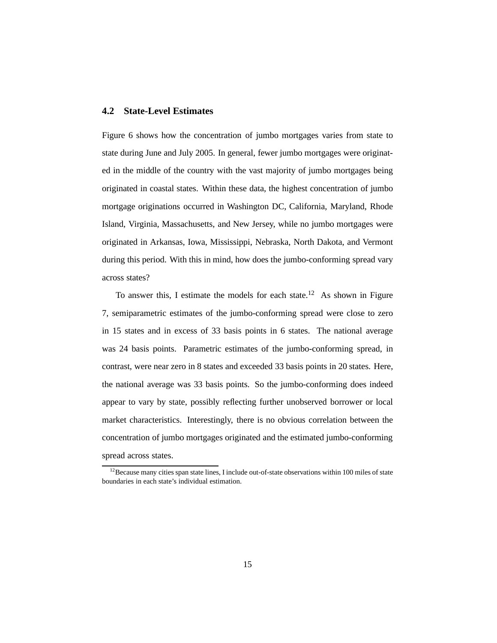#### **4.2 State-Level Estimates**

Figure 6 shows how the concentration of jumbo mortgages varies from state to state during June and July 2005. In general, fewer jumbo mortgages were originated in the middle of the country with the vast majority of jumbo mortgages being originated in coastal states. Within these data, the highest concentration of jumbo mortgage originations occurred in Washington DC, California, Maryland, Rhode Island, Virginia, Massachusetts, and New Jersey, while no jumbo mortgages were originated in Arkansas, Iowa, Mississippi, Nebraska, North Dakota, and Vermont during this period. With this in mind, how does the jumbo-conforming spread vary across states?

To answer this, I estimate the models for each state.<sup>12</sup> As shown in Figure 7, semiparametric estimates of the jumbo-conforming spread were close to zero in 15 states and in excess of 33 basis points in 6 states. The national average was 24 basis points. Parametric estimates of the jumbo-conforming spread, in contrast, were near zero in 8 states and exceeded 33 basis points in 20 states. Here, the national average was 33 basis points. So the jumbo-conforming does indeed appear to vary by state, possibly reflecting further unobserved borrower or local market characteristics. Interestingly, there is no obvious correlation between the concentration of jumbo mortgages originated and the estimated jumbo-conforming spread across states.

<sup>&</sup>lt;sup>12</sup>Because many cities span state lines, I include out-of-state observations within 100 miles of state boundaries in each state's individual estimation.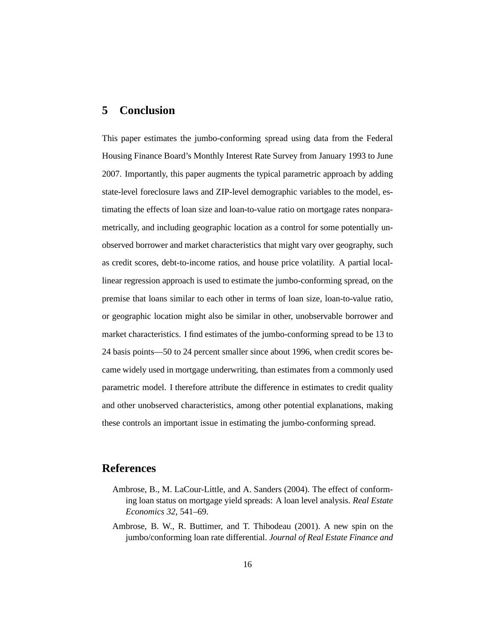#### **5 Conclusion**

This paper estimates the jumbo-conforming spread using data from the Federal Housing Finance Board's Monthly Interest Rate Survey from January 1993 to June 2007. Importantly, this paper augments the typical parametric approach by adding state-level foreclosure laws and ZIP-level demographic variables to the model, estimating the effects of loan size and loan-to-value ratio on mortgage rates nonparametrically, and including geographic location as a control for some potentially unobserved borrower and market characteristics that might vary over geography, such as credit scores, debt-to-income ratios, and house price volatility. A partial locallinear regression approach is used to estimate the jumbo-conforming spread, on the premise that loans similar to each other in terms of loan size, loan-to-value ratio, or geographic location might also be similar in other, unobservable borrower and market characteristics. I find estimates of the jumbo-conforming spread to be 13 to 24 basis points—50 to 24 percent smaller since about 1996, when credit scores became widely used in mortgage underwriting, than estimates from a commonly used parametric model. I therefore attribute the difference in estimates to credit quality and other unobserved characteristics, among other potential explanations, making these controls an important issue in estimating the jumbo-conforming spread.

## **References**

- Ambrose, B., M. LaCour-Little, and A. Sanders (2004). The effect of conforming loan status on mortgage yield spreads: A loan level analysis. *Real Estate Economics 32*, 541–69.
- Ambrose, B. W., R. Buttimer, and T. Thibodeau (2001). A new spin on the jumbo/conforming loan rate differential. *Journal of Real Estate Finance and*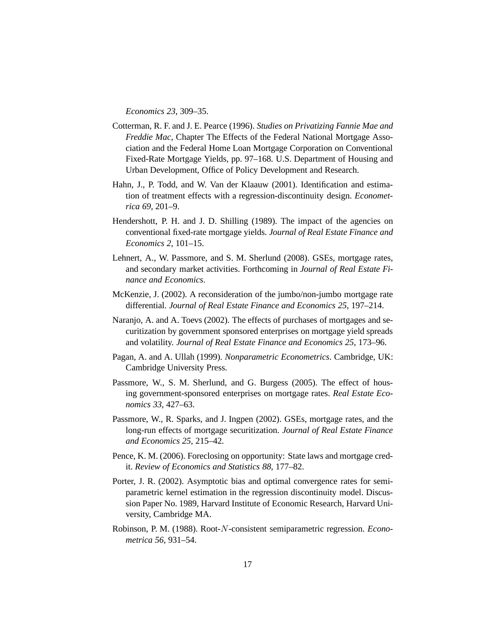*Economics 23*, 309–35.

- Cotterman, R. F. and J. E. Pearce (1996). *Studies on Privatizing Fannie Mae and Freddie Mac*, Chapter The Effects of the Federal National Mortgage Association and the Federal Home Loan Mortgage Corporation on Conventional Fixed-Rate Mortgage Yields, pp. 97–168. U.S. Department of Housing and Urban Development, Office of Policy Development and Research.
- Hahn, J., P. Todd, and W. Van der Klaauw (2001). Identification and estimation of treatment effects with a regression-discontinuity design. *Econometrica 69*, 201–9.
- Hendershott, P. H. and J. D. Shilling (1989). The impact of the agencies on conventional fixed-rate mortgage yields. *Journal of Real Estate Finance and Economics 2*, 101–15.
- Lehnert, A., W. Passmore, and S. M. Sherlund (2008). GSEs, mortgage rates, and secondary market activities. Forthcoming in *Journal of Real Estate Finance and Economics*.
- McKenzie, J. (2002). A reconsideration of the jumbo/non-jumbo mortgage rate differential. *Journal of Real Estate Finance and Economics 25*, 197–214.
- Naranjo, A. and A. Toevs (2002). The effects of purchases of mortgages and securitization by government sponsored enterprises on mortgage yield spreads and volatility. *Journal of Real Estate Finance and Economics 25*, 173–96.
- Pagan, A. and A. Ullah (1999). *Nonparametric Econometrics*. Cambridge, UK: Cambridge University Press.
- Passmore, W., S. M. Sherlund, and G. Burgess (2005). The effect of housing government-sponsored enterprises on mortgage rates. *Real Estate Economics 33*, 427–63.
- Passmore, W., R. Sparks, and J. Ingpen (2002). GSEs, mortgage rates, and the long-run effects of mortgage securitization. *Journal of Real Estate Finance and Economics 25*, 215–42.
- Pence, K. M. (2006). Foreclosing on opportunity: State laws and mortgage credit. *Review of Economics and Statistics 88*, 177–82.
- Porter, J. R. (2002). Asymptotic bias and optimal convergence rates for semiparametric kernel estimation in the regression discontinuity model. Discussion Paper No. 1989, Harvard Institute of Economic Research, Harvard University, Cambridge MA.
- Robinson, P. M. (1988). Root-N-consistent semiparametric regression. *Econometrica 56*, 931–54.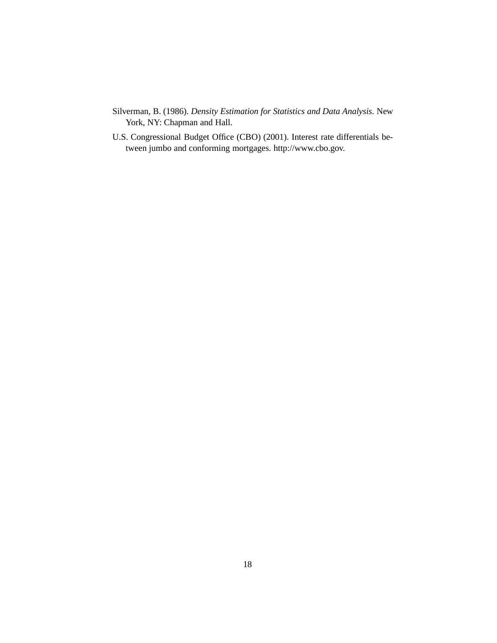- Silverman, B. (1986). *Density Estimation for Statistics and Data Analysis*. New York, NY: Chapman and Hall.
- U.S. Congressional Budget Office (CBO) (2001). Interest rate differentials between jumbo and conforming mortgages. http://www.cbo.gov.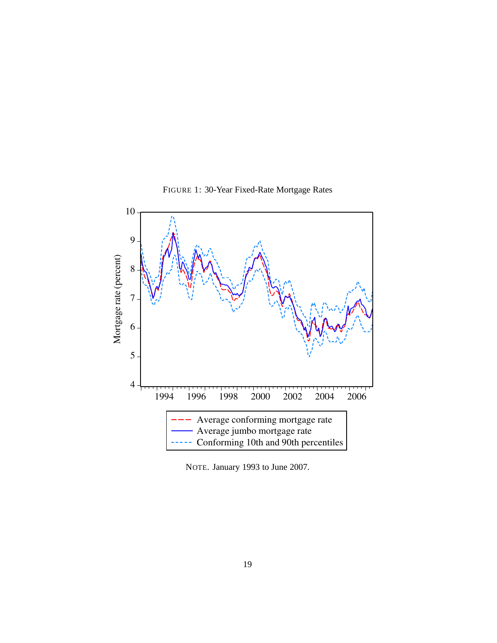

FIGURE 1: 30-Year Fixed-Rate Mortgage Rates

NOTE. January 1993 to June 2007.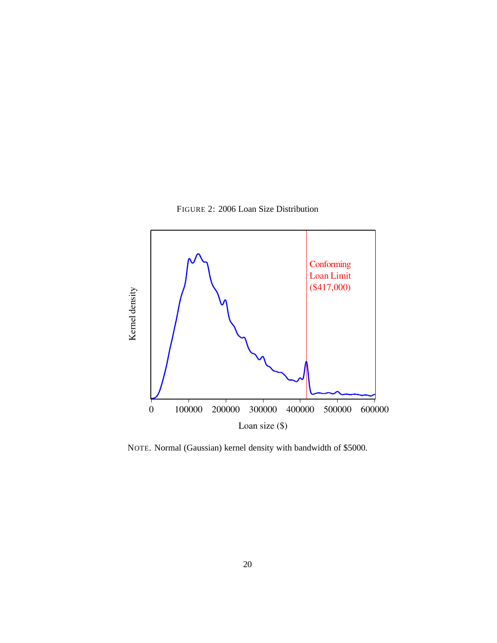FIGURE 2: 2006 Loan Size Distribution



NOTE. Normal (Gaussian) kernel density with bandwidth of \$5000.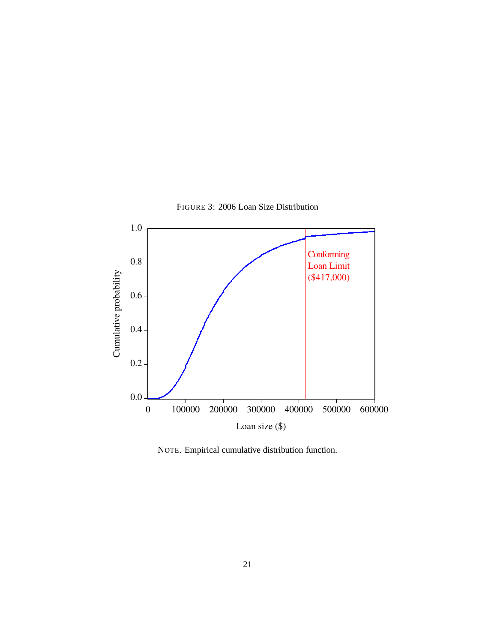

FIGURE 3: 2006 Loan Size Distribution

NOTE. Empirical cumulative distribution function.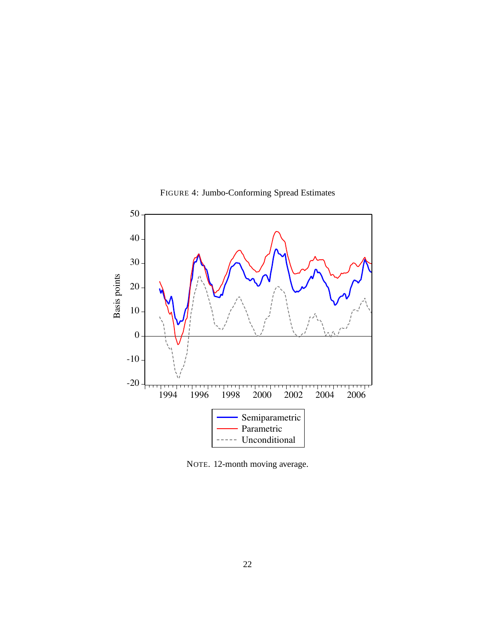

FIGURE 4: Jumbo-Conforming Spread Estimates

NOTE. 12-month moving average.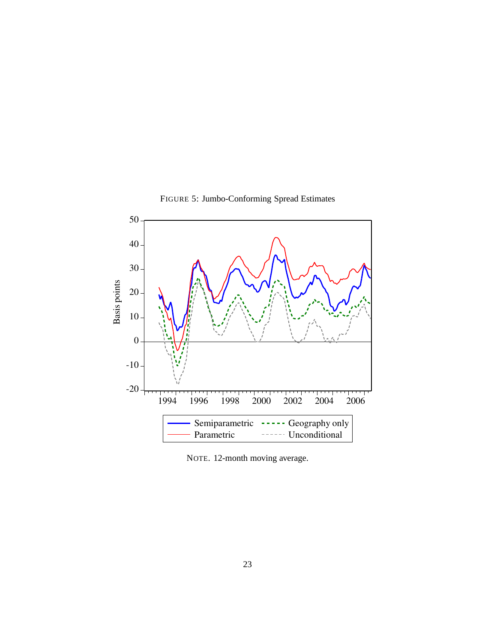

FIGURE 5: Jumbo-Conforming Spread Estimates

NOTE. 12-month moving average.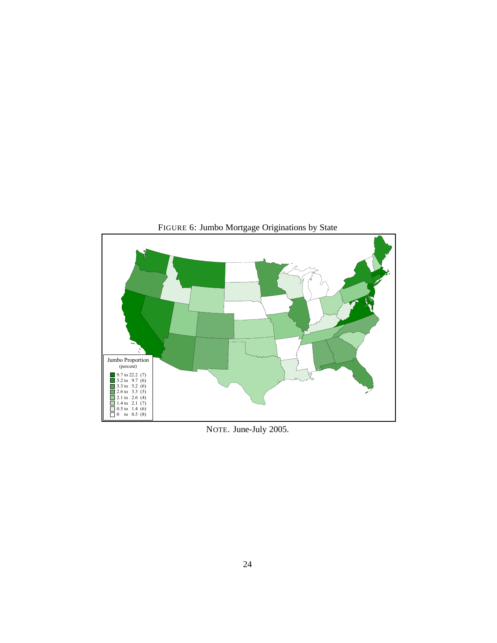

NOTE. June-July 2005.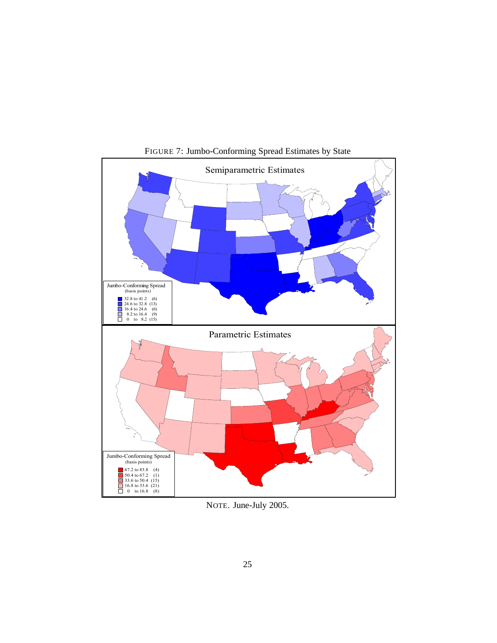

FIGURE 7: Jumbo-Conforming Spread Estimates by State

NOTE. June-July 2005.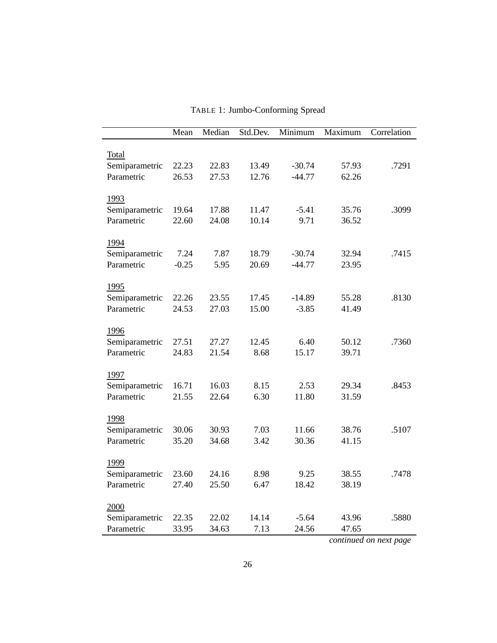|                              | Mean           | Median         | Std.Dev.       | Minimum              | Maximum        | Correlation |
|------------------------------|----------------|----------------|----------------|----------------------|----------------|-------------|
|                              |                |                |                |                      |                |             |
| Total                        |                |                |                |                      |                |             |
| Semiparametric<br>Parametric | 22.23<br>26.53 | 22.83<br>27.53 | 13.49<br>12.76 | $-30.74$<br>$-44.77$ | 57.93<br>62.26 | .7291       |
|                              |                |                |                |                      |                |             |
| 1993                         |                |                |                |                      |                |             |
| Semiparametric               | 19.64          | 17.88          | 11.47          | $-5.41$              | 35.76          | .3099       |
| Parametric                   | 22.60          | 24.08          | 10.14          | 9.71                 | 36.52          |             |
|                              |                |                |                |                      |                |             |
| 1994                         |                |                |                |                      |                |             |
| Semiparametric               | 7.24           | 7.87           | 18.79          | $-30.74$             | 32.94          | .7415       |
| Parametric                   | $-0.25$        | 5.95           | 20.69          | $-44.77$             | 23.95          |             |
|                              |                |                |                |                      |                |             |
| 1995                         |                |                | 17.45          |                      |                |             |
| Semiparametric<br>Parametric | 22.26<br>24.53 | 23.55<br>27.03 | 15.00          | $-14.89$<br>$-3.85$  | 55.28<br>41.49 | .8130       |
|                              |                |                |                |                      |                |             |
| 1996                         |                |                |                |                      |                |             |
| Semiparametric               | 27.51          | 27.27          | 12.45          | 6.40                 | 50.12          | .7360       |
| Parametric                   | 24.83          | 21.54          | 8.68           | 15.17                | 39.71          |             |
|                              |                |                |                |                      |                |             |
| 1997                         |                |                |                |                      |                |             |
| Semiparametric               | 16.71          | 16.03          | 8.15           | 2.53                 | 29.34          | .8453       |
| Parametric                   | 21.55          | 22.64          | 6.30           | 11.80                | 31.59          |             |
|                              |                |                |                |                      |                |             |
| 1998                         |                |                |                |                      |                |             |
| Semiparametric               | 30.06          | 30.93          | 7.03           | 11.66                | 38.76          | .5107       |
| Parametric                   | 35.20          | 34.68          | 3.42           | 30.36                | 41.15          |             |
| 1999                         |                |                |                |                      |                |             |
| Semiparametric               | 23.60          | 24.16          | 8.98           | 9.25                 | 38.55          | .7478       |
| Parametric                   | 27.40          | 25.50          | 6.47           | 18.42                | 38.19          |             |
|                              |                |                |                |                      |                |             |
| 2000                         |                |                |                |                      |                |             |
| Semiparametric               | 22.35          | 22.02          | 14.14          | $-5.64$              | 43.96          | .5880       |
| Parametric                   | 33.95          | 34.63          | 7.13           | 24.56                | 47.65          |             |

TABLE 1: Jumbo-Conforming Spread

*continued on next page*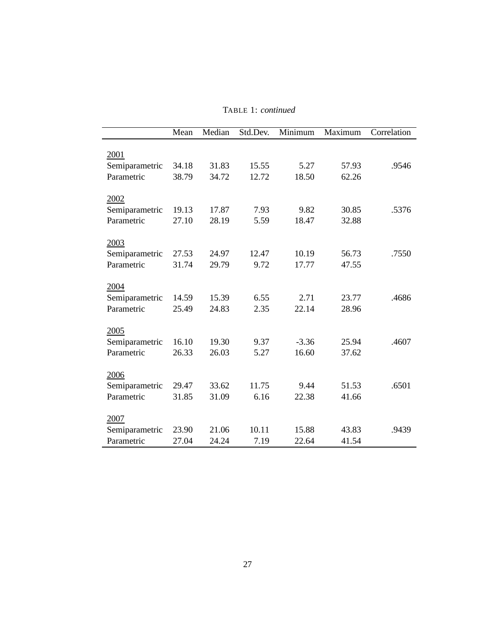|                | Mean  | Median | Std.Dev. | Minimum | $\overline{\text{Maximum}}$ | Correlation |
|----------------|-------|--------|----------|---------|-----------------------------|-------------|
| 2001           |       |        |          |         |                             |             |
| Semiparametric | 34.18 | 31.83  | 15.55    | 5.27    | 57.93                       | .9546       |
| Parametric     | 38.79 | 34.72  | 12.72    | 18.50   | 62.26                       |             |
| 2002           |       |        |          |         |                             |             |
| Semiparametric | 19.13 | 17.87  | 7.93     | 9.82    | 30.85                       | .5376       |
| Parametric     | 27.10 | 28.19  | 5.59     | 18.47   | 32.88                       |             |
| 2003           |       |        |          |         |                             |             |
| Semiparametric | 27.53 | 24.97  | 12.47    | 10.19   | 56.73                       | .7550       |
| Parametric     | 31.74 | 29.79  | 9.72     | 17.77   | 47.55                       |             |
| 2004           |       |        |          |         |                             |             |
| Semiparametric | 14.59 | 15.39  | 6.55     | 2.71    | 23.77                       | .4686       |
| Parametric     | 25.49 | 24.83  | 2.35     | 22.14   | 28.96                       |             |
| 2005           |       |        |          |         |                             |             |
| Semiparametric | 16.10 | 19.30  | 9.37     | $-3.36$ | 25.94                       | .4607       |
| Parametric     | 26.33 | 26.03  | 5.27     | 16.60   | 37.62                       |             |
| 2006           |       |        |          |         |                             |             |
| Semiparametric | 29.47 | 33.62  | 11.75    | 9.44    | 51.53                       | .6501       |
| Parametric     | 31.85 | 31.09  | 6.16     | 22.38   | 41.66                       |             |
| 2007           |       |        |          |         |                             |             |
| Semiparametric | 23.90 | 21.06  | 10.11    | 15.88   | 43.83                       | .9439       |
| Parametric     | 27.04 | 24.24  | 7.19     | 22.64   | 41.54                       |             |

TABLE 1: *continued*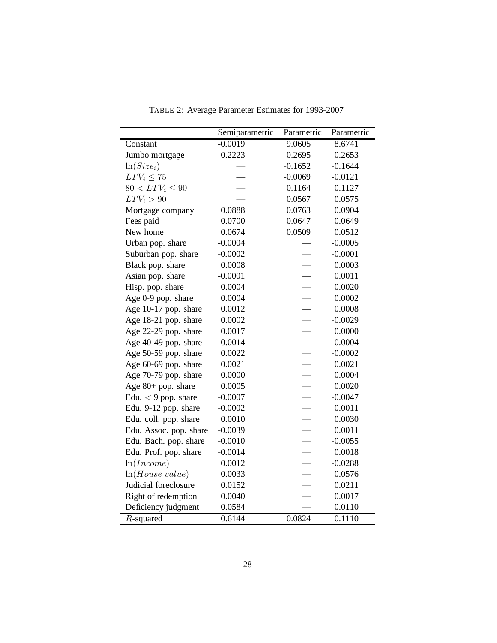|                        | Semiparametric | Parametric | Parametric |
|------------------------|----------------|------------|------------|
| Constant               | $-0.0019$      | 9.0605     | 8.6741     |
| Jumbo mortgage         | 0.2223         | 0.2695     | 0.2653     |
| $ln(Size_i)$           |                | $-0.1652$  | $-0.1644$  |
| $LTV_i \leq 75$        |                | $-0.0069$  | $-0.0121$  |
| $80 < LTV_i \leq 90$   |                | 0.1164     | 0.1127     |
| $LTV_i > 90$           |                | 0.0567     | 0.0575     |
| Mortgage company       | 0.0888         | 0.0763     | 0.0904     |
| Fees paid              | 0.0700         | 0.0647     | 0.0649     |
| New home               | 0.0674         | 0.0509     | 0.0512     |
| Urban pop. share       | $-0.0004$      |            | $-0.0005$  |
| Suburban pop. share    | $-0.0002$      |            | $-0.0001$  |
| Black pop. share       | 0.0008         |            | 0.0003     |
| Asian pop. share       | $-0.0001$      |            | 0.0011     |
| Hisp. pop. share       | 0.0004         |            | 0.0020     |
| Age 0-9 pop. share     | 0.0004         |            | 0.0002     |
| Age 10-17 pop. share   | 0.0012         |            | 0.0008     |
| Age 18-21 pop. share   | 0.0002         |            | $-0.0029$  |
| Age 22-29 pop. share   | 0.0017         |            | 0.0000     |
| Age 40-49 pop. share   | 0.0014         |            | $-0.0004$  |
| Age 50-59 pop. share   | 0.0022         |            | $-0.0002$  |
| Age 60-69 pop. share   | 0.0021         |            | 0.0021     |
| Age 70-79 pop. share   | 0.0000         |            | 0.0004     |
| Age $80+$ pop. share   | 0.0005         |            | 0.0020     |
| Edu. $<$ 9 pop. share  | $-0.0007$      |            | $-0.0047$  |
| Edu. 9-12 pop. share   | $-0.0002$      |            | 0.0011     |
| Edu. coll. pop. share  | 0.0010         |            | 0.0030     |
| Edu. Assoc. pop. share | $-0.0039$      |            | 0.0011     |
| Edu. Bach. pop. share  | $-0.0010$      |            | $-0.0055$  |
| Edu. Prof. pop. share  | $-0.0014$      |            | 0.0018     |
| ln(Income)             | 0.0012         |            | $-0.0288$  |
| ln(House value)        | 0.0033         |            | 0.0576     |
| Judicial foreclosure   | 0.0152         |            | 0.0211     |
| Right of redemption    | 0.0040         |            | 0.0017     |
| Deficiency judgment    | 0.0584         |            | 0.0110     |
| $R$ -squared           | 0.6144         | 0.0824     | 0.1110     |

TABLE 2: Average Parameter Estimates for 1993-2007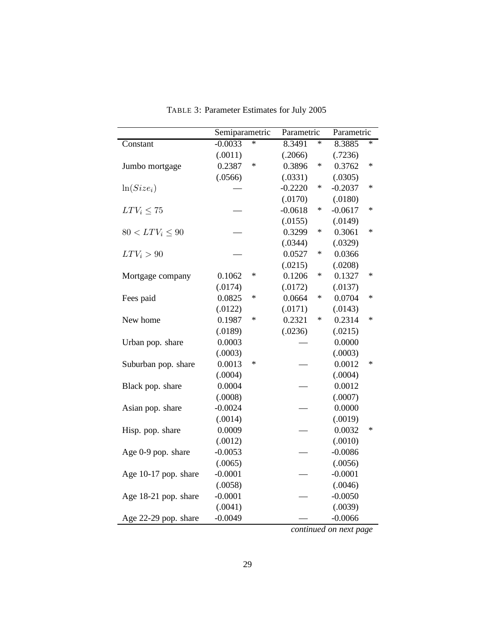|                      | Semiparametric |        | Parametric |        | Parametric |        |
|----------------------|----------------|--------|------------|--------|------------|--------|
| Constant             | $-0.0033$      | $\ast$ | 8.3491     | $\ast$ | 8.3885     | $\ast$ |
|                      | (.0011)        |        | (.2066)    |        | (.7236)    |        |
| Jumbo mortgage       | 0.2387         | $\ast$ | 0.3896     | ∗      | 0.3762     | $\ast$ |
|                      | (.0566)        |        | (.0331)    |        | (.0305)    |        |
| $ln(Size_i)$         |                |        | $-0.2220$  | $\ast$ | $-0.2037$  | ∗      |
|                      |                |        | (.0170)    |        | (.0180)    |        |
| $LTV_i \leq 75$      |                |        | $-0.0618$  | ∗      | $-0.0617$  | $\ast$ |
|                      |                |        | (.0155)    |        | (.0149)    |        |
| $80 < LTV_i \leq 90$ |                |        | 0.3299     | ∗      | 0.3061     | $\ast$ |
|                      |                |        | (.0344)    |        | (.0329)    |        |
| $LTV_i > 90$         |                |        | 0.0527     | ∗      | 0.0366     |        |
|                      |                |        | (.0215)    |        | (.0208)    |        |
| Mortgage company     | 0.1062         | $\ast$ | 0.1206     | $\ast$ | 0.1327     | ∗      |
|                      | (.0174)        |        | (.0172)    |        | (.0137)    |        |
| Fees paid            | 0.0825         | $\ast$ | 0.0664     | ∗      | 0.0704     | $\ast$ |
|                      | (.0122)        |        | (.0171)    |        | (.0143)    |        |
| New home             | 0.1987         | ∗      | 0.2321     | $\ast$ | 0.2314     | $\ast$ |
|                      | (.0189)        |        | (.0236)    |        | (.0215)    |        |
| Urban pop. share     | 0.0003         |        |            |        | 0.0000     |        |
|                      | (.0003)        |        |            |        | (.0003)    |        |
| Suburban pop. share  | 0.0013         | $\ast$ |            |        | 0.0012     | $\ast$ |
|                      | (.0004)        |        |            |        | (.0004)    |        |
| Black pop. share     | 0.0004         |        |            |        | 0.0012     |        |
|                      | (.0008)        |        |            |        | (.0007)    |        |
| Asian pop. share     | $-0.0024$      |        |            |        | 0.0000     |        |
|                      | (.0014)        |        |            |        | (.0019)    |        |
| Hisp. pop. share     | 0.0009         |        |            |        | 0.0032     | ∗      |
|                      | (.0012)        |        |            |        | (.0010)    |        |
| Age 0-9 pop. share   | $-0.0053$      |        |            |        | $-0.0086$  |        |
|                      | (.0065)        |        |            |        | (.0056)    |        |
| Age 10-17 pop. share | $-0.0001$      |        |            |        | $-0.0001$  |        |
|                      | (.0058)        |        |            |        | (.0046)    |        |
| Age 18-21 pop. share | $-0.0001$      |        |            |        | $-0.0050$  |        |
|                      | (.0041)        |        |            |        | (.0039)    |        |
| Age 22-29 pop. share | $-0.0049$      |        |            |        | $-0.0066$  |        |

TABLE 3: Parameter Estimates for July 2005

*continued on next page*